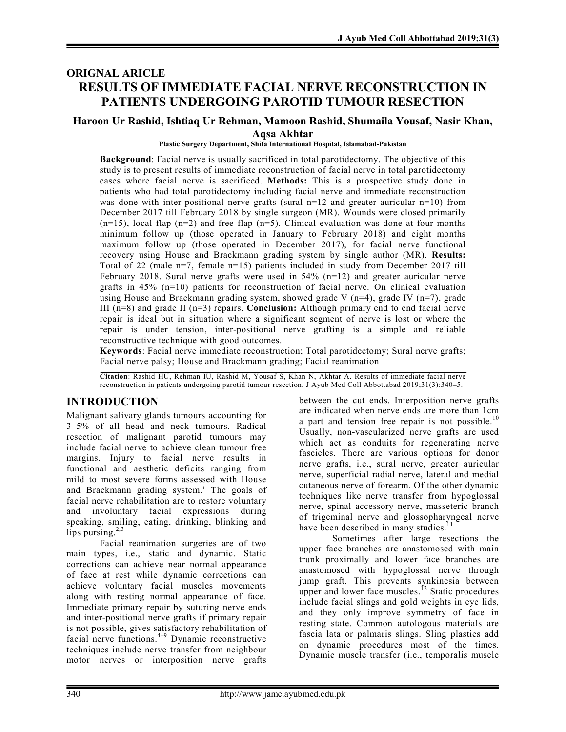## **ORIGNAL ARICLE RESULTS OF IMMEDIATE FACIAL NERVE RECONSTRUCTION IN PATIENTS UNDERGOING PAROTID TUMOUR RESECTION**

### **Haroon Ur Rashid, Ishtiaq Ur Rehman, Mamoon Rashid, Shumaila Yousaf, Nasir Khan, Aqsa Akhtar**

#### **Plastic Surgery Department, Shifa International Hospital, Islamabad-Pakistan**

**Background**: Facial nerve is usually sacrificed in total parotidectomy. The objective of this study is to present results of immediate reconstruction of facial nerve in total parotidectomy cases where facial nerve is sacrificed. **Methods:** This is a prospective study done in patients who had total parotidectomy including facial nerve and immediate reconstruction was done with inter-positional nerve grafts (sural  $n=12$  and greater auricular  $n=10$ ) from December 2017 till February 2018 by single surgeon (MR). Wounds were closed primarily  $(n=15)$ , local flap  $(n=2)$  and free flap  $(n=5)$ . Clinical evaluation was done at four months minimum follow up (those operated in January to February 2018) and eight months maximum follow up (those operated in December 2017), for facial nerve functional recovery using House and Brackmann grading system by single author (MR). **Results:** Total of 22 (male n=7, female n=15) patients included in study from December 2017 till February 2018. Sural nerve grafts were used in  $54\%$  (n=12) and greater auricular nerve grafts in  $45\%$  (n=10) patients for reconstruction of facial nerve. On clinical evaluation using House and Brackmann grading system, showed grade V  $(n=4)$ , grade IV  $(n=7)$ , grade III (n=8) and grade II (n=3) repairs. **Conclusion:** Although primary end to end facial nerve repair is ideal but in situation where a significant segment of nerve is lost or where the repair is under tension, inter-positional nerve grafting is a simple and reliable reconstructive technique with good outcomes.

**Keywords**: Facial nerve immediate reconstruction; Total parotidectomy; Sural nerve grafts; Facial nerve palsy; House and Brackmann grading; Facial reanimation

**Citation**: Rashid HU, Rehman IU, Rashid M, Yousaf S, Khan N, Akhtar A. Results of immediate facial nerve reconstruction in patients undergoing parotid tumour resection. J Ayub Med Coll Abbottabad 2019;31(3):340–5.

### **INTRODUCTION**

Malignant salivary glands tumours accounting for 3–5% of all head and neck tumours. Radical resection of malignant parotid tumours may include facial nerve to achieve clean tumour free margins. Injury to facial nerve results in functional and aesthetic deficits ranging from mild to most severe forms assessed with House and Brackmann grading system. 1 The goals of facial nerve rehabilitation are to restore voluntary and involuntary facial expressions during speaking, smiling, eating, drinking, blinking and lips pursing.<sup>2,3</sup>

Facial reanimation surgeries are of two main types, i.e., static and dynamic. Static corrections can achieve near normal appearance of face at rest while dynamic corrections can achieve voluntary facial muscles movements along with resting normal appearance of face. Immediate primary repair by suturing nerve ends and inter-positional nerve grafts if primary repair is not possible, gives satisfactory rehabilitation of facial nerve functions. 4–9 Dynamic reconstructive techniques include nerve transfer from neighbour motor nerves or interposition nerve grafts

between the cut ends. Interposition nerve grafts are indicated when nerve ends are more than 1cm a part and tension free repair is not possible.<sup>10</sup> Usually, non-vascularized nerve grafts are used which act as conduits for regenerating nerve fascicles. There are various options for donor nerve grafts, i.e., sural nerve, greater auricular nerve, superficial radial nerve, lateral and medial cutaneous nerve of forearm. Of the other dynamic techniques like nerve transfer from hypoglossal nerve, spinal accessory nerve, masseteric branch of trigeminal nerve and glossopharyngeal nerve have been described in many studies.<sup>11</sup>

Sometimes after large resections the upper face branches are anastomosed with main trunk proximally and lower face branches are anastomosed with hypoglossal nerve through jump graft. This prevents synkinesia between upper and lower face muscles.<sup>12</sup> Static procedures include facial slings and gold weights in eye lids, and they only improve symmetry of face in resting state. Common autologous materials are fascia lata or palmaris slings. Sling plasties add on dynamic procedures most of the times. Dynamic muscle transfer (i.e., temporalis muscle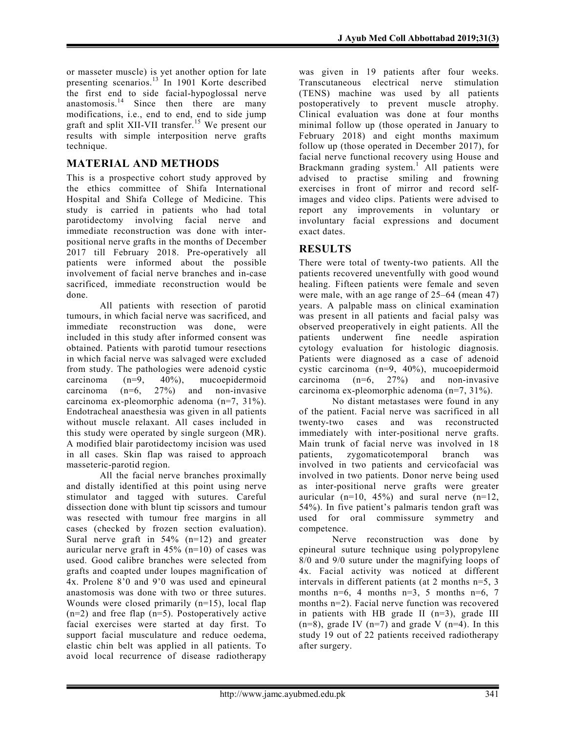or masseter muscle) is yet another option for late presenting scenarios.<sup>13</sup> In 1901 Korte described the first end to side facial-hypoglossal nerve anastomosis.<sup>14</sup> Since then there are many modifications, i.e., end to end, end to side jump graft and split XII-VII transfer. 15 We present our results with simple interposition nerve grafts technique.

# **MATERIAL AND METHODS**

This is a prospective cohort study approved by the ethics committee of Shifa International Hospital and Shifa College of Medicine. This study is carried in patients who had total parotidectomy involving facial nerve and immediate reconstruction was done with interpositional nerve grafts in the months of December 2017 till February 2018. Pre-operatively all patients were informed about the possible involvement of facial nerve branches and in-case sacrificed, immediate reconstruction would be done.

All patients with resection of parotid tumours, in which facial nerve was sacrificed, and immediate reconstruction was done, were included in this study after informed consent was obtained. Patients with parotid tumour resections in which facial nerve was salvaged were excluded from study. The pathologies were adenoid cystic<br>carcinoma  $(n=9, 40\%)$ , mucoepidermoid carcinoma (n=9, 40%), mucoepidermoid carcinoma  $(n=6, 27%)$  and non-invasive carcinoma ex-pleomorphic adenoma (n=7, 31%). Endotracheal anaesthesia was given in all patients without muscle relaxant. All cases included in this study were operated by single surgeon (MR). A modified blair parotidectomy incision was used in all cases. Skin flap was raised to approach masseteric-parotid region.

All the facial nerve branches proximally and distally identified at this point using nerve stimulator and tagged with sutures. Careful dissection done with blunt tip scissors and tumour was resected with tumour free margins in all cases (checked by frozen section evaluation). Sural nerve graft in 54% (n=12) and greater auricular nerve graft in  $45\%$  (n=10) of cases was used. Good calibre branches were selected from grafts and coapted under loupes magnification of 4x. Prolene 8'0 and 9'0 was used and epineural anastomosis was done with two or three sutures. Wounds were closed primarily (n=15), local flap  $(n=2)$  and free flap  $(n=5)$ . Postoperatively active facial exercises were started at day first. To support facial musculature and reduce oedema, elastic chin belt was applied in all patients. To avoid local recurrence of disease radiotherapy

was given in 19 patients after four weeks. Transcutaneous electrical nerve stimulation (TENS) machine was used by all patients postoperatively to prevent muscle atrophy. Clinical evaluation was done at four months minimal follow up (those operated in January to February 2018) and eight months maximum follow up (those operated in December 2017), for facial nerve functional recovery using House and Brackmann grading system. <sup>1</sup> All patients were advised to practise smiling and frowning exercises in front of mirror and record selfimages and video clips. Patients were advised to report any improvements in voluntary or involuntary facial expressions and document exact dates.

## **RESULTS**

There were total of twenty-two patients. All the patients recovered uneventfully with good wound healing. Fifteen patients were female and seven were male, with an age range of 25–64 (mean 47) years. A palpable mass on clinical examination was present in all patients and facial palsy was observed preoperatively in eight patients. All the patients underwent fine needle aspiration cytology evaluation for histologic diagnosis. Patients were diagnosed as a case of adenoid cystic carcinoma (n=9, 40%), mucoepidermoid carcinoma  $(n=6, 27%)$  and non-invasive carcinoma ex-pleomorphic adenoma (n=7, 31%).

No distant metastases were found in any of the patient. Facial nerve was sacrificed in all twenty-two cases and was reconstructed immediately with inter-positional nerve grafts. Main trunk of facial nerve was involved in 18 patients, zygomaticotemporal branch was involved in two patients and cervicofacial was involved in two patients. Donor nerve being used as inter-positional nerve grafts were greater auricular ( $n=10$ , 45%) and sural nerve ( $n=12$ , 54%). In five patient's palmaris tendon graft was used for oral commissure symmetry and competence.

Nerve reconstruction was done by epineural suture technique using polypropylene 8/0 and 9/0 suture under the magnifying loops of 4x. Facial activity was noticed at different intervals in different patients (at 2 months n=5, 3 months n=6, 4 months n=3, 5 months n=6, 7 months n=2). Facial nerve function was recovered in patients with HB grade II (n=3), grade III  $(n=8)$ , grade IV  $(n=7)$  and grade V  $(n=4)$ . In this study 19 out of 22 patients received radiotherapy after surgery.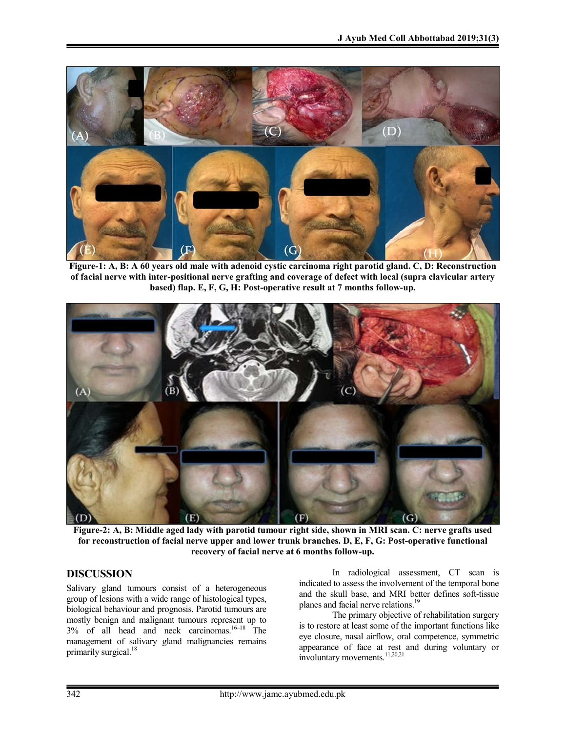

**Figure-1: A, B: A 60 years old male with adenoid cystic carcinoma right parotid gland. C, D: Reconstruction of facial nerve with inter-positional nerve grafting and coverage of defect with local (supra clavicular artery based) flap. E, F, G, H: Post-operative result at 7 months follow-up.**



**Figure-2: A, B: Middle aged lady with parotid tumour right side, shown in MRI scan. C: nerve grafts used for reconstruction of facial nerve upper and lower trunk branches. D, E, F, G: Post-operative functional recovery of facial nerve at 6 months follow-up.**

### **DISCUSSION**

Salivary gland tumours consist of a heterogeneous group of lesions with a wide range of histological types, biological behaviour and prognosis. Parotid tumours are mostly benign and malignant tumours represent up to 3% of all head and neck carcinomas. 16–18 The management of salivary gland malignancies remains primarily surgical.<sup>18</sup>

In radiological assessment, CT scan is indicated to assess the involvement of the temporal bone and the skull base, and MRI better defines soft-tissue planes and facial nerve relations.<sup>19</sup>

The primary objective of rehabilitation surgery is to restore at least some of the important functions like eye closure, nasal airflow, oral competence, symmetric appearance of face at rest and during voluntary or involuntary movements. 11,20,21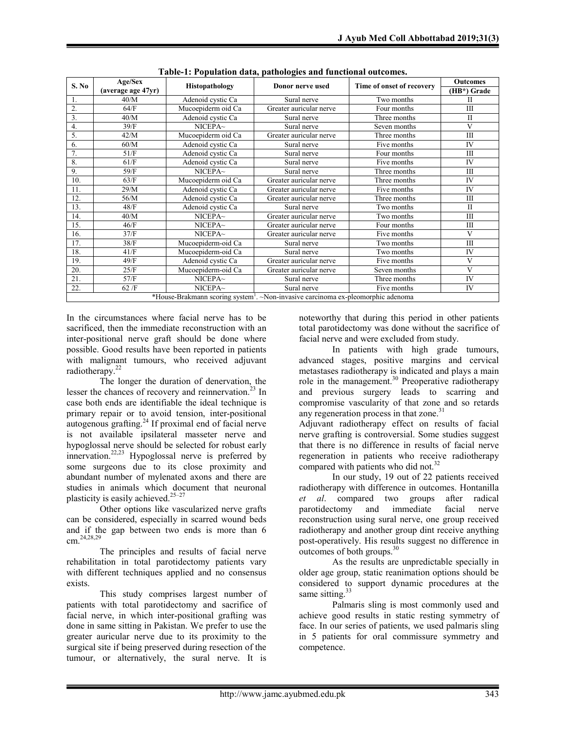| S. No                                                                                        | Age/Sex<br>(average age 47yr) | Histopathology     | Donor nerve used        | Time of onset of recovery | <b>Outcomes</b>         |
|----------------------------------------------------------------------------------------------|-------------------------------|--------------------|-------------------------|---------------------------|-------------------------|
|                                                                                              |                               |                    |                         |                           | (HB*) Grade             |
| 1.                                                                                           | 40/M                          | Adenoid cystic Ca  | Sural nerve             | Two months                | П                       |
| 2.                                                                                           | 64/F                          | Mucoepiderm oid Ca | Greater auricular nerve | Four months               | III                     |
| 3.                                                                                           | 40/M                          | Adenoid cystic Ca  | Sural nerve             | Three months              | $\mathbf{I}$            |
| $\overline{4}$ .                                                                             | 39/F                          | NICEPA~            | Sural nerve             | Seven months              | $\overline{\mathbf{V}}$ |
| 5.                                                                                           | 42/M                          | Mucoepiderm oid Ca | Greater auricular nerve | Three months              | $\mathbf{I}$            |
| 6.                                                                                           | 60/M                          | Adenoid cystic Ca  | Sural nerve             | Five months               | IV                      |
| 7.                                                                                           | 51/F                          | Adenoid cystic Ca  | Sural nerve             | Four months               | III                     |
| 8.                                                                                           | 61/F                          | Adenoid cystic Ca  | Sural nerve             | Five months               | IV                      |
| 9.                                                                                           | 59/F                          | NICEPA~            | Sural nerve             | Three months              | $\mathbf{I}$            |
| 10.                                                                                          | 63/F                          | Mucoepiderm oid Ca | Greater auricular nerve | Three months              | IV                      |
| 11.                                                                                          | 29/M                          | Adenoid cystic Ca  | Greater auricular nerve | Five months               | IV                      |
| 12.                                                                                          | 56/M                          | Adenoid cystic Ca  | Greater auricular nerve | Three months              | $\mathbf{I}$            |
| 13.                                                                                          | 48/F                          | Adenoid cystic Ca  | Sural nerve             | Two months                | $\mathbf{I}$            |
| 14.                                                                                          | 40/M                          | NICEPA~            | Greater auricular nerve | Two months                | $\mathbf{I}$            |
| 15.                                                                                          | 46/F                          | NICEPA~            | Greater auricular nerve | Four months               | III                     |
| 16.                                                                                          | 37/F                          | NICEPA~            | Greater auricular nerve | Five months               | V                       |
| 17.                                                                                          | 38/F                          | Mucoepiderm-oid Ca | Sural nerve             | Two months                | $\mathbf{I}$            |
| 18.                                                                                          | 41/F                          | Mucoepiderm-oid Ca | Sural nerve             | Two months                | IV                      |
| 19.                                                                                          | 49/F                          | Adenoid cystic Ca  | Greater auricular nerve | Five months               | V                       |
| 20.                                                                                          | 25/F                          | Mucoepiderm-oid Ca | Greater auricular nerve | Seven months              | V                       |
| 21.                                                                                          | 57/F                          | NICEPA~            | Sural nerve             | Three months              | <b>IV</b>               |
| 22.                                                                                          | 62/F                          | NICEPA~            | Sural nerve             | Five months               | IV                      |
| *House-Brakmann scoring system <sup>1</sup> . ~Non-invasive carcinoma ex-pleomorphic adenoma |                               |                    |                         |                           |                         |

**Table-1: Population data, pathologies and functional outcomes.**

In the circumstances where facial nerve has to be sacrificed, then the immediate reconstruction with an inter-positional nerve graft should be done where possible. Good results have been reported in patients with malignant tumours, who received adjuvant radiotherapy. 22

The longer the duration of denervation, the lesser the chances of recovery and reinnervation.<sup>23</sup> In case both ends are identifiable the ideal technique is primary repair or to avoid tension, inter-positional autogenous grafting. <sup>24</sup> If proximal end of facial nerve is not available ipsilateral masseter nerve and hypoglossal nerve should be selected for robust early innervation.<sup>22,23</sup> Hypoglossal nerve is preferred by some surgeons due to its close proximity and abundant number of mylenated axons and there are studies in animals which document that neuronal plasticity is easily achieved.<sup>25-27</sup>

Other options like vascularized nerve grafts can be considered, especially in scarred wound beds and if the gap between two ends is more than 6 cm. 24,28,29

The principles and results of facial nerve rehabilitation in total parotidectomy patients vary with different techniques applied and no consensus exists.

This study comprises largest number of patients with total parotidectomy and sacrifice of facial nerve, in which inter-positional grafting was done in same sitting in Pakistan. We prefer to use the greater auricular nerve due to its proximity to the surgical site if being preserved during resection of the tumour, or alternatively, the sural nerve. It is

noteworthy that during this period in other patients total parotidectomy was done without the sacrifice of facial nerve and were excluded from study.

In patients with high grade tumours, advanced stages, positive margins and cervical metastases radiotherapy is indicated and plays a main role in the management.<sup>30</sup> Preoperative radiotherapy and previous surgery leads to scarring and compromise vascularity of that zone and so retards any regeneration process in that zone.<sup>31</sup>

Adjuvant radiotherapy effect on results of facial nerve grafting is controversial. Some studies suggest that there is no difference in results of facial nerve regeneration in patients who receive radiotherapy compared with patients who did not.<sup>32</sup>

In our study, 19 out of 22 patients received radiotherapy with difference in outcomes. Hontanilla *et al*. compared two groups after radical parotidectomy and immediate facial nerve reconstruction using sural nerve, one group received radiotherapy and another group dint receive anything post-operatively. His results suggest no difference in outcomes of both groups.<sup>30</sup>

As the results are unpredictable specially in older age group, static reanimation options should be considered to support dynamic procedures at the same sitting.<sup>33</sup>

Palmaris sling is most commonly used and achieve good results in static resting symmetry of face. In our series of patients, we used palmaris sling in 5 patients for oral commissure symmetry and competence.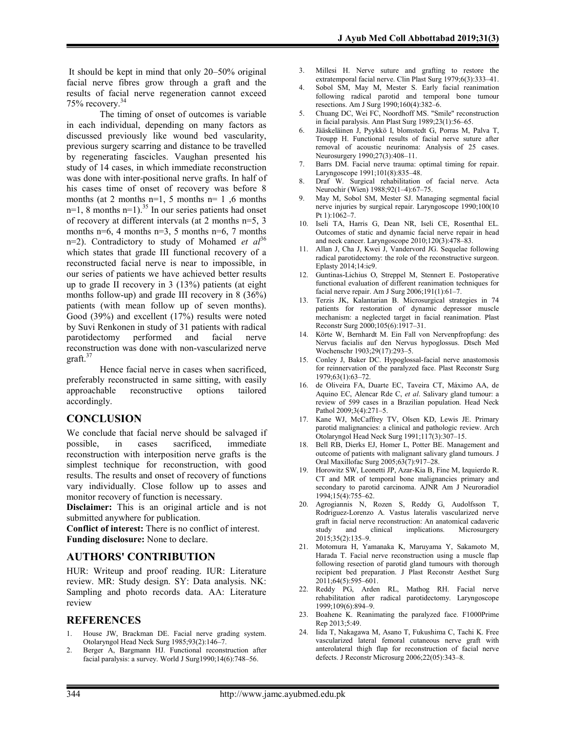It should be kept in mind that only 20–50% original facial nerve fibres grow through a graft and the results of facial nerve regeneration cannot exceed 75% recovery. 34

The timing of onset of outcomes is variable in each individual, depending on many factors as discussed previously like wound bed vascularity, previous surgery scarring and distance to be travelled by regenerating fascicles. Vaughan presented his study of 14 cases, in which immediate reconstruction was done with inter-positional nerve grafts. In half of his cases time of onset of recovery was before 8 months (at 2 months  $n=1$ , 5 months  $n=1$ , 6 months  $n=1$ , 8 months  $n=1$ ).<sup>35</sup> In our series patients had onset of recovery at different intervals (at 2 months n=5, 3 months n=6, 4 months n=3, 5 months n=6, 7 months n=2). Contradictory to study of Mohamed *et al*<sup>36</sup> which states that grade III functional recovery of a reconstructed facial nerve is near to impossible, in our series of patients we have achieved better results up to grade II recovery in 3 (13%) patients (at eight months follow-up) and grade III recovery in 8 (36%) patients (with mean follow up of seven months). Good (39%) and excellent (17%) results were noted by Suvi Renkonen in study of 31 patients with radical parotidectomy performed and facial nerve reconstruction was done with non-vascularized nerve graft. 37

Hence facial nerve in cases when sacrificed, preferably reconstructed in same sitting, with easily approachable reconstructive options tailored accordingly.

### **CONCLUSION**

We conclude that facial nerve should be salvaged if possible, in cases sacrificed, immediate reconstruction with interposition nerve grafts is the simplest technique for reconstruction, with good results. The results and onset of recovery of functions vary individually. Close follow up to asses and monitor recovery of function is necessary.

**Disclaimer:** This is an original article and is not submitted anywhere for publication.

**Conflict of interest:** There is no conflict of interest. **Funding disclosure:** None to declare.

### **AUTHORS' CONTRIBUTION**

HUR: Writeup and proof reading. IUR: Literature review. MR: Study design. SY: Data analysis. NK: Sampling and photo records data. AA: Literature review

#### **REFERENCES**

- 1. House JW, Brackman DE. Facial nerve grading system. Otolaryngol Head Neck Surg 1985;93(2):146–7.
- 2. Berger A, Bargmann HJ. Functional reconstruction after facial paralysis: a survey. World J Surg1990;14(6):748–56.
- 3. Millesi H. Nerve suture and grafting to restore the extratemporal facial nerve. Clin Plast Surg 1979;6(3):333–41.
- 4. Sobol SM, May M, Mester S. Early facial reanimation following radical parotid and temporal bone tumour resections. Am J Surg 1990;160(4):382–6.
- 5. Chuang DC, Wei FC, Noordhoff MS. "Smile" reconstruction in facial paralysis. Ann Plast Surg 1989;23(1):56–65.
- 6. Jääskeläinen J, Pyykkö I, blomstedt G, Porras M, Palva T, Troupp H. Functional results of facial nerve suture after removal of acoustic neurinoma: Analysis of 25 cases. Neurosurgery 1990;27(3):408–11.
- 7. Barrs DM. Facial nerve trauma: optimal timing for repair. Laryngoscope 1991;101(8):835–48.
- 8. Draf W. Surgical rehabilitation of facial nerve. Acta Neurochir (Wien) 1988;92(1–4):67–75.
- 9. May M, Sobol SM, Mester SJ. Managing segmental facial nerve injuries by surgical repair. Laryngoscope 1990;100(10 Pt 1):1062–7.
- 10. Iseli TA, Harris G, Dean NR, Iseli CE, Rosenthal EL. Outcomes of static and dynamic facial nerve repair in head and neck cancer. Laryngoscope 2010;120(3):478–83.
- 11. Allan J, Cha J, Kwei J, Vandervord JG. Sequelae following radical parotidectomy: the role of the reconstructive surgeon. Eplasty 2014;14:ic9.
- 12. Guntinas-Lichius O, Streppel M, Stennert E. Postoperative functional evaluation of different reanimation techniques for facial nerve repair. Am J Surg 2006;191(1):61–7.
- 13. Terzis JK, Kalantarian B. Microsurgical strategies in 74 patients for restoration of dynamic depressor muscle mechanism: a neglected target in facial reanimation. Plast Reconstr Surg 2000;105(6):1917–31.
- 14. Körte W, Bernhardt M. Ein Fall von Nervenpfropfung: des Nervus facialis auf den Nervus hypoglossus. Dtsch Med Wochenschr 1903;29(17):293–5.
- 15. Conley J, Baker DC. Hypoglossal-facial nerve anastomosis for reinnervation of the paralyzed face. Plast Reconstr Surg 1979;63(1):63–72.
- 16. de Oliveira FA, Duarte EC, Taveira CT, Máximo AA, de Aquino EC, Alencar Rde C, *et al*. Salivary gland tumour: a review of 599 cases in a Brazilian population. Head Neck Pathol 2009;3(4):271-5.
- 17. Kane WJ, McCaffrey TV, Olsen KD, Lewis JE. Primary parotid malignancies: a clinical and pathologic review. Arch Otolaryngol Head Neck Surg 1991;117(3):307–15.
- 18. Bell RB, Dierks EJ, Homer L, Potter BE. Management and outcome of patients with malignant salivary gland tumours. J Oral Maxillofac Surg 2005;63(7):917–28.
- 19. Horowitz SW, Leonetti JP, Azar-Kia B, Fine M, Izquierdo R. CT and MR of temporal bone malignancies primary and secondary to parotid carcinoma. AJNR Am J Neuroradiol 1994;15(4):755–62.
- 20. Agrogiannis N, Rozen S, Reddy G, Audolfsson T, Rodriguez‐Lorenzo A. Vastus lateralis vascularized nerve graft in facial nerve reconstruction: An anatomical cadaveric<br>study and clinical implications. Microsurgery study and  $2015;35(2):135-9.$
- 21. Motomura H, Yamanaka K, Maruyama Y, Sakamoto M, Harada T. Facial nerve reconstruction using a muscle flap following resection of parotid gland tumours with thorough recipient bed preparation. J Plast Reconstr Aesthet Surg 2011;64(5):595–601.
- 22. Reddy PG, Arden RL, Mathog RH. Facial nerve rehabilitation after radical parotidectomy. Laryngoscope 1999;109(6):894–9.
- 23. Boahene K. Reanimating the paralyzed face. F1000Prime Rep 2013;5:49.
- 24. Iida T, Nakagawa M, Asano T, Fukushima C, Tachi K. Free vascularized lateral femoral cutaneous nerve graft with anterolateral thigh flap for reconstruction of facial nerve defects. J Reconstr Microsurg 2006;22(05):343–8.